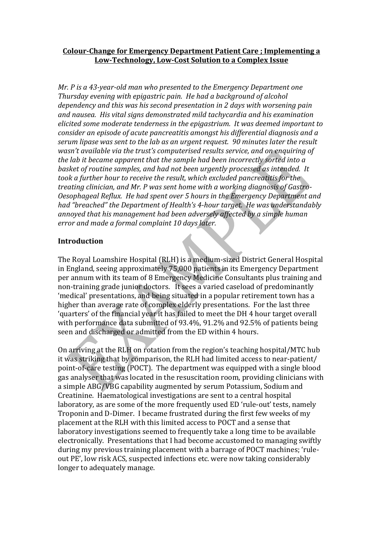# **Colour-Change for Emergency Department Patient Care ; Implementing a Low-Technology, Low-Cost Solution to a Complex Issue**

*Mr. P is a 43-year-old man who presented to the Emergency Department one Thursday evening with epigastric pain. He had a background of alcohol dependency and this was his second presentation in 2 days with worsening pain and nausea. His vital signs demonstrated mild tachycardia and his examination elicited some moderate tenderness in the epigastrium. It was deemed important to consider an episode of acute pancreatitis amongst his differential diagnosis and a serum lipase was sent to the lab as an urgent request. 90 minutes later the result wasn't available via the trust's computerised results service, and on enquiring of the lab it became apparent that the sample had been incorrectly sorted into a basket of routine samples, and had not been urgently processed as intended. It took a further hour to receive the result, which excluded pancreatitis for the treating clinician, and Mr. P was sent home with a working diagnosis of Gastro-Oesophageal Reflux. He had spent over 5 hours in the Emergency Department and had "breached" the Department of Health's 4-hour target. He was understandably annoyed that his management had been adversely affected by a simple human error and made a formal complaint 10 days later.* 

# **Introduction**

The Royal Loamshire Hospital (RLH) is a medium-sized District General Hospital in England, seeing approximately 75,000 patients in its Emergency Department per annum with its team of 8 Emergency Medicine Consultants plus training and non-training grade junior doctors. It sees a varied caseload of predominantly 'medical' presentations, and being situated in a popular retirement town has a higher than average rate of complex elderly presentations. For the last three 'quarters' of the financial year it has failed to meet the DH 4 hour target overall with performance data submitted of 93.4%, 91.2% and 92.5% of patients being seen and discharged or admitted from the ED within 4 hours.

On arriving at the RLH on rotation from the region's teaching hospital/MTC hub it was striking that by comparison, the RLH had limited access to near-patient/ point-of-care testing (POCT). The department was equipped with a single blood gas analyser that was located in the resuscitation room, providing clinicians with a simple ABG/VBG capability augmented by serum Potassium, Sodium and Creatinine. Haematological investigations are sent to a central hospital laboratory, as are some of the more frequently used ED 'rule-out' tests, namely Troponin and D-Dimer. I became frustrated during the first few weeks of my placement at the RLH with this limited access to POCT and a sense that laboratory investigations seemed to frequently take a long time to be available electronically. Presentations that I had become accustomed to managing swiftly during my previous training placement with a barrage of POCT machines; 'ruleout PE', low risk ACS, suspected infections etc. were now taking considerably longer to adequately manage.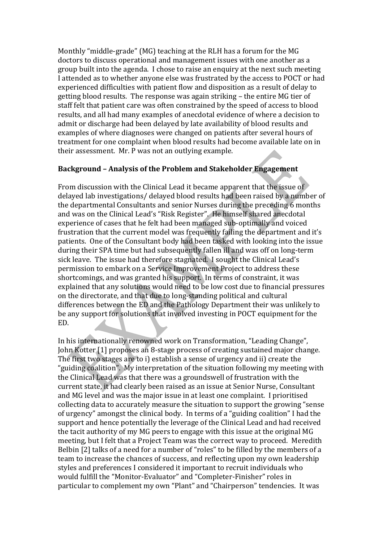Monthly "middle-grade" (MG) teaching at the RLH has a forum for the MG doctors to discuss operational and management issues with one another as a group built into the agenda. I chose to raise an enquiry at the next such meeting I attended as to whether anyone else was frustrated by the access to POCT or had experienced difficulties with patient flow and disposition as a result of delay to getting blood results. The response was again striking – the entire MG tier of staff felt that patient care was often constrained by the speed of access to blood results, and all had many examples of anecdotal evidence of where a decision to admit or discharge had been delayed by late availability of blood results and examples of where diagnoses were changed on patients after several hours of treatment for one complaint when blood results had become available late on in their assessment. Mr. P was not an outlying example.

# **Background – Analysis of the Problem and Stakeholder Engagement**

From discussion with the Clinical Lead it became apparent that the issue of delayed lab investigations/ delayed blood results had been raised by a number of the departmental Consultants and senior Nurses during the preceding 6 months and was on the Clinical Lead's "Risk Register". He himself shared anecdotal experience of cases that he felt had been managed sub-optimally and voiced frustration that the current model was frequently failing the department and it's patients. One of the Consultant body had been tasked with looking into the issue during their SPA time but had subsequently fallen ill and was off on long-term sick leave. The issue had therefore stagnated. I sought the Clinical Lead's permission to embark on a Service Improvement Project to address these shortcomings, and was granted his support. In terms of constraint, it was explained that any solutions would need to be low cost due to financial pressures on the directorate, and that due to long-standing political and cultural differences between the ED and the Pathology Department their was unlikely to be any support for solutions that involved investing in POCT equipment for the ED.

In his internationally renowned work on Transformation, "Leading Change", John Kotter [1] proposes an 8-stage process of creating sustained major change. The first two stages are to i) establish a sense of urgency and ii) create the "guiding coalition". My interpretation of the situation following my meeting with the Clinical Lead was that there was a groundswell of frustration with the current state, it had clearly been raised as an issue at Senior Nurse, Consultant and MG level and was the major issue in at least one complaint. I prioritised collecting data to accurately measure the situation to support the growing "sense of urgency" amongst the clinical body. In terms of a "guiding coalition" I had the support and hence potentially the leverage of the Clinical Lead and had received the tacit authority of my MG peers to engage with this issue at the original MG meeting, but I felt that a Project Team was the correct way to proceed. Meredith Belbin [2] talks of a need for a number of "roles" to be filled by the members of a team to increase the chances of success, and reflecting upon my own leadership styles and preferences I considered it important to recruit individuals who would fulfill the "Monitor-Evaluator" and "Completer-Finisher" roles in particular to complement my own "Plant" and "Chairperson" tendencies. It was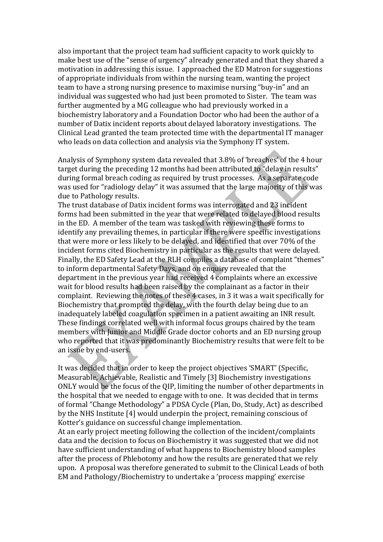also important that the project team had sufficient capacity to work quickly to make best use of the "sense of urgency" already generated and that they shared a motivation in addressing this issue. I approached the ED Matron for suggestions of appropriate individuals from within the nursing team, wanting the project team to have a strong nursing presence to maximise nursing "buy-in" and an individual was suggested who had just been promoted to Sister. The team was further augmented by a MG colleague who had previously worked in a biochemistry laboratory and a Foundation Doctor who had been the author of a number of Datix incident reports about delayed laboratory investigations. The Clinical Lead granted the team protected time with the departmental IT manager who leads on data collection and analysis via the Symphony IT system.

Analysis of Symphony system data revealed that 3.8% of 'breaches' of the 4 hour target during the preceding 12 months had been attributed to "delay in results" during formal breach coding as required by trust processes. As a separate code was used for "radiology delay" it was assumed that the large majority of this was due to Pathology results.

The trust database of Datix incident forms was interrogated and 23 incident forms had been submitted in the year that were related to delayed blood results in the ED. A member of the team was tasked with reviewing these forms to identify any prevailing themes, in particular if there were specific investigations that were more or less likely to be delayed, and identified that over 70% of the incident forms cited Biochemistry in particular as the results that were delayed. Finally, the ED Safety Lead at the RLH compiles a database of complaint "themes" to inform departmental Safety Days, and on enquiry revealed that the department in the previous year had received 4 complaints where an excessive wait for blood results had been raised by the complainant as a factor in their complaint. Reviewing the notes of these 4 cases, in 3 it was a wait specifically for Biochemistry that prompted the delay, with the fourth delay being due to an inadequately labeled coagulation specimen in a patient awaiting an INR result. These findings correlated well with informal focus groups chaired by the team members with Junior and Middle Grade doctor cohorts and an ED nursing group who reported that it was predominantly Biochemistry results that were felt to be an issue by end-users.

It was decided that in order to keep the project objectives 'SMART' (Specific, Measurable, Achievable, Realistic and Timely [3] Biochemistry investigations ONLY would be the focus of the QIP, limiting the number of other departments in the hospital that we needed to engage with to one. It was decided that in terms of formal "Change Methodology" a PDSA Cycle (Plan, Do, Study, Act) as described by the NHS Institute [4] would underpin the project, remaining conscious of Kotter's guidance on successful change implementation.

At an early project meeting following the collection of the incident/complaints data and the decision to focus on Biochemistry it was suggested that we did not have sufficient understanding of what happens to Biochemistry blood samples after the process of Phlebotomy and how the results are generated that we rely upon. A proposal was therefore generated to submit to the Clinical Leads of both EM and Pathology/Biochemistry to undertake a 'process mapping' exercise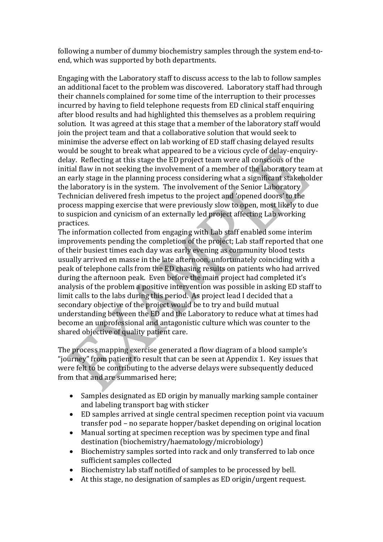following a number of dummy biochemistry samples through the system end-toend, which was supported by both departments.

Engaging with the Laboratory staff to discuss access to the lab to follow samples an additional facet to the problem was discovered. Laboratory staff had through their channels complained for some time of the interruption to their processes incurred by having to field telephone requests from ED clinical staff enquiring after blood results and had highlighted this themselves as a problem requiring solution. It was agreed at this stage that a member of the laboratory staff would join the project team and that a collaborative solution that would seek to minimise the adverse effect on lab working of ED staff chasing delayed results would be sought to break what appeared to be a vicious cycle of delay-enquirydelay. Reflecting at this stage the ED project team were all conscious of the initial flaw in not seeking the involvement of a member of the laboratory team at an early stage in the planning process considering what a significant stakeholder the laboratory is in the system. The involvement of the Senior Laboratory Technician delivered fresh impetus to the project and 'opened doors' to the process mapping exercise that were previously slow to open, most likely to due to suspicion and cynicism of an externally led project affecting Lab working practices.

The information collected from engaging with Lab staff enabled some interim improvements pending the completion of the project; Lab staff reported that one of their busiest times each day was early evening as community blood tests usually arrived en masse in the late afternoon, unfortunately coinciding with a peak of telephone calls from the ED chasing results on patients who had arrived during the afternoon peak. Even before the main project had completed it's analysis of the problem a positive intervention was possible in asking ED staff to limit calls to the labs during this period. As project lead I decided that a secondary objective of the project would be to try and build mutual understanding between the ED and the Laboratory to reduce what at times had become an unprofessional and antagonistic culture which was counter to the shared objective of quality patient care.

The process mapping exercise generated a flow diagram of a blood sample's "journey" from patient to result that can be seen at Appendix 1. Key issues that were felt to be contributing to the adverse delays were subsequently deduced from that and are summarised here;

- Samples designated as ED origin by manually marking sample container and labeling transport bag with sticker
- ED samples arrived at single central specimen reception point via vacuum transfer pod – no separate hopper/basket depending on original location
- Manual sorting at specimen reception was by specimen type and final destination (biochemistry/haematology/microbiology)
- Biochemistry samples sorted into rack and only transferred to lab once sufficient samples collected
- Biochemistry lab staff notified of samples to be processed by bell.
- At this stage, no designation of samples as ED origin/urgent request.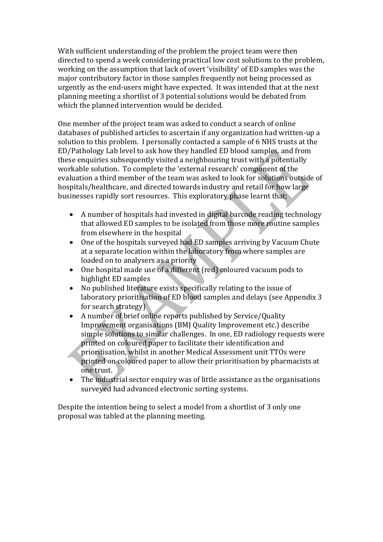With sufficient understanding of the problem the project team were then directed to spend a week considering practical low cost solutions to the problem, working on the assumption that lack of overt 'visibility' of ED samples was the major contributory factor in those samples frequently not being processed as urgently as the end-users might have expected. It was intended that at the next planning meeting a shortlist of 3 potential solutions would be debated from which the planned intervention would be decided.

One member of the project team was asked to conduct a search of online databases of published articles to ascertain if any organization had written-up a solution to this problem. I personally contacted a sample of 6 NHS trusts at the ED/Pathology Lab level to ask how they handled ED blood samples, and from these enquiries subsequently visited a neighbouring trust with a potentially workable solution. To complete the 'external research' component of the evaluation a third member of the team was asked to look for solutions outside of hospitals/healthcare, and directed towards industry and retail for how large businesses rapidly sort resources. This exploratory phase learnt that;

- A number of hospitals had invested in digital barcode reading technology that allowed ED samples to be isolated from those more routine samples from elsewhere in the hospital
- One of the hospitals surveyed had ED samples arriving by Vacuum Chute at a separate location within the laboratory from where samples are loaded on to analysers as a priority
- One hospital made use of a different (red) coloured vacuum pods to highlight ED samples
- No published literature exists specifically relating to the issue of laboratory prioritisation of ED blood samples and delays (see Appendix 3 for search strategy)
- A number of brief online reports published by Service/Quality Improvement organisations (BMJ Quality Improvement etc.) describe simple solutions to similar challenges. In one, ED radiology requests were printed on coloured paper to facilitate their identification and prioritisation, whilst in another Medical Assessment unit TTOs were printed on coloured paper to allow their prioritisation by pharmacists at one trust.
- The industrial sector enquiry was of little assistance as the organisations surveyed had advanced electronic sorting systems.

Despite the intention being to select a model from a shortlist of 3 only one proposal was tabled at the planning meeting.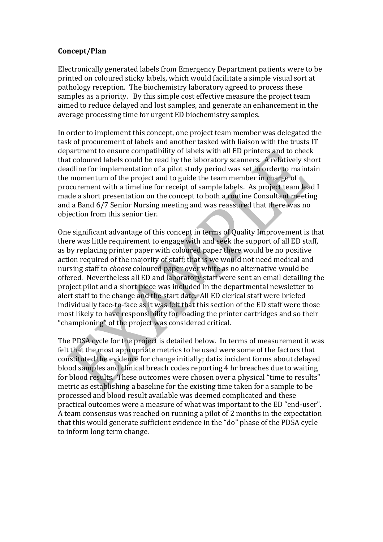# **Concept/Plan**

Electronically generated labels from Emergency Department patients were to be printed on coloured sticky labels, which would facilitate a simple visual sort at pathology reception. The biochemistry laboratory agreed to process these samples as a priority. By this simple cost effective measure the project team aimed to reduce delayed and lost samples, and generate an enhancement in the average processing time for urgent ED biochemistry samples.

In order to implement this concept, one project team member was delegated the task of procurement of labels and another tasked with liaison with the trusts IT department to ensure compatibility of labels with all ED printers and to check that coloured labels could be read by the laboratory scanners. A relatively short deadline for implementation of a pilot study period was set in order to maintain the momentum of the project and to guide the team member in charge of procurement with a timeline for receipt of sample labels. As project team lead I made a short presentation on the concept to both a routine Consultant meeting and a Band 6/7 Senior Nursing meeting and was reassured that there was no objection from this senior tier.

One significant advantage of this concept in terms of Quality Improvement is that there was little requirement to engage with and seek the support of all ED staff, as by replacing printer paper with coloured paper there would be no positive action required of the majority of staff; that is we would not need medical and nursing staff to *choose* coloured paper over white as no alternative would be offered. Nevertheless all ED and laboratory staff were sent an email detailing the project pilot and a short piece was included in the departmental newsletter to alert staff to the change and the start date. All ED clerical staff were briefed individually face-to-face as it was felt that this section of the ED staff were those most likely to have responsibility for loading the printer cartridges and so their "championing" of the project was considered critical.

The PDSA cycle for the project is detailed below. In terms of measurement it was felt that the most appropriate metrics to be used were some of the factors that constituted the evidence for change initially; datix incident forms about delayed blood samples and clinical breach codes reporting 4 hr breaches due to waiting for blood results. These outcomes were chosen over a physical "time to results" metric as establishing a baseline for the existing time taken for a sample to be processed and blood result available was deemed complicated and these practical outcomes were a measure of what was important to the ED "end-user". A team consensus was reached on running a pilot of 2 months in the expectation that this would generate sufficient evidence in the "do" phase of the PDSA cycle to inform long term change.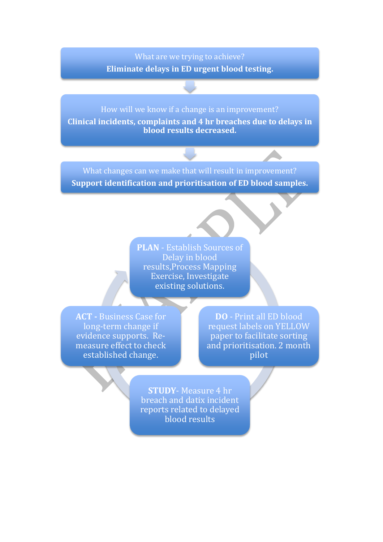# What are we trying to achieve? **Eliminate delays in ED urgent blood testing.**

How will we know if a change is an improvement? **Clinical incidents, complaints and 4 hr breaches due to delays in blood results decreased.** 

What changes can we make that will result in improvement? **Support identification and prioritisation of ED blood samples.** 

> **PLAN** - Establish Sources of Delay in blood results,Process Mapping Exercise, Investigate existing solutions.

**ACT -** Business Case for long-term change if evidence supports. Remeasure effect to check established change.

**DO** - Print all ED blood request labels on YELLOW paper to facilitate sorting and prioritisation. 2 month pilot

**STUDY**- Measure 4 hr breach and datix incident reports related to delayed blood results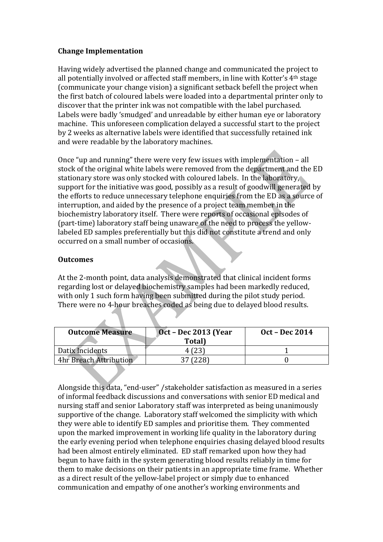# **Change Implementation**

Having widely advertised the planned change and communicated the project to all potentially involved or affected staff members, in line with Kotter's 4th stage (communicate your change vision) a significant setback befell the project when the first batch of coloured labels were loaded into a departmental printer only to discover that the printer ink was not compatible with the label purchased. Labels were badly 'smudged' and unreadable by either human eye or laboratory machine. This unforeseen complication delayed a successful start to the project by 2 weeks as alternative labels were identified that successfully retained ink and were readable by the laboratory machines.

Once "up and running" there were very few issues with implementation – all stock of the original white labels were removed from the department and the ED stationary store was only stocked with coloured labels. In the laboratory, support for the initiative was good, possibly as a result of goodwill generated by the efforts to reduce unnecessary telephone enquiries from the ED as a source of interruption, and aided by the presence of a project team member in the biochemistry laboratory itself. There were reports of occasional episodes of (part-time) laboratory staff being unaware of the need to process the yellowlabeled ED samples preferentially but this did not constitute a trend and only occurred on a small number of occasions.

# **Outcomes**

At the 2-month point, data analysis demonstrated that clinical incident forms regarding lost or delayed biochemistry samples had been markedly reduced, with only 1 such form having been submitted during the pilot study period. There were no 4-hour breaches coded as being due to delayed blood results.

| <b>Outcome Measure</b>        | <b>Oct - Dec 2013 (Year</b> | <b>Oct – Dec 2014</b> |
|-------------------------------|-----------------------------|-----------------------|
|                               | Total)                      |                       |
| Datix Incidents               | 4(23)                       |                       |
| <b>4hr Breach Attribution</b> |                             |                       |

Alongside this data, "end-user" /stakeholder satisfaction as measured in a series of informal feedback discussions and conversations with senior ED medical and nursing staff and senior Laboratory staff was interpreted as being unanimously supportive of the change. Laboratory staff welcomed the simplicity with which they were able to identify ED samples and prioritise them. They commented upon the marked improvement in working life quality in the laboratory during the early evening period when telephone enquiries chasing delayed blood results had been almost entirely eliminated. ED staff remarked upon how they had begun to have faith in the system generating blood results reliably in time for them to make decisions on their patients in an appropriate time frame. Whether as a direct result of the yellow-label project or simply due to enhanced communication and empathy of one another's working environments and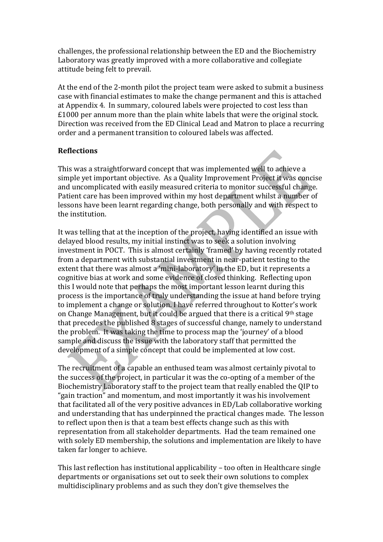challenges, the professional relationship between the ED and the Biochemistry Laboratory was greatly improved with a more collaborative and collegiate attitude being felt to prevail.

At the end of the 2-month pilot the project team were asked to submit a business case with financial estimates to make the change permanent and this is attached at Appendix 4. In summary, coloured labels were projected to cost less than £1000 per annum more than the plain white labels that were the original stock. Direction was received from the ED Clinical Lead and Matron to place a recurring order and a permanent transition to coloured labels was affected.

# **Reflections**

This was a straightforward concept that was implemented well to achieve a simple yet important objective. As a Quality Improvement Project it was concise and uncomplicated with easily measured criteria to monitor successful change. Patient care has been improved within my host department whilst a number of lessons have been learnt regarding change, both personally and with respect to the institution.

It was telling that at the inception of the project, having identified an issue with delayed blood results, my initial instinct was to seek a solution involving investment in POCT. This is almost certainly 'framed' by having recently rotated from a department with substantial investment in near-patient testing to the extent that there was almost a 'mini-laboratory' in the ED, but it represents a cognitive bias at work and some evidence of closed thinking. Reflecting upon this I would note that perhaps the most important lesson learnt during this process is the importance of truly understanding the issue at hand before trying to implement a change or solution. I have referred throughout to Kotter's work on Change Management, but it could be argued that there is a critical 9th stage that precedes the published 8 stages of successful change, namely to understand the problem. It was taking the time to process map the 'journey' of a blood sample and discuss the issue with the laboratory staff that permitted the development of a simple concept that could be implemented at low cost.

The recruitment of a capable an enthused team was almost certainly pivotal to the success of the project, in particular it was the co-opting of a member of the Biochemistry Laboratory staff to the project team that really enabled the QIP to "gain traction" and momentum, and most importantly it was his involvement that facilitated all of the very positive advances in ED/Lab collaborative working and understanding that has underpinned the practical changes made. The lesson to reflect upon then is that a team best effects change such as this with representation from all stakeholder departments. Had the team remained one with solely ED membership, the solutions and implementation are likely to have taken far longer to achieve.

This last reflection has institutional applicability – too often in Healthcare single departments or organisations set out to seek their own solutions to complex multidisciplinary problems and as such they don't give themselves the